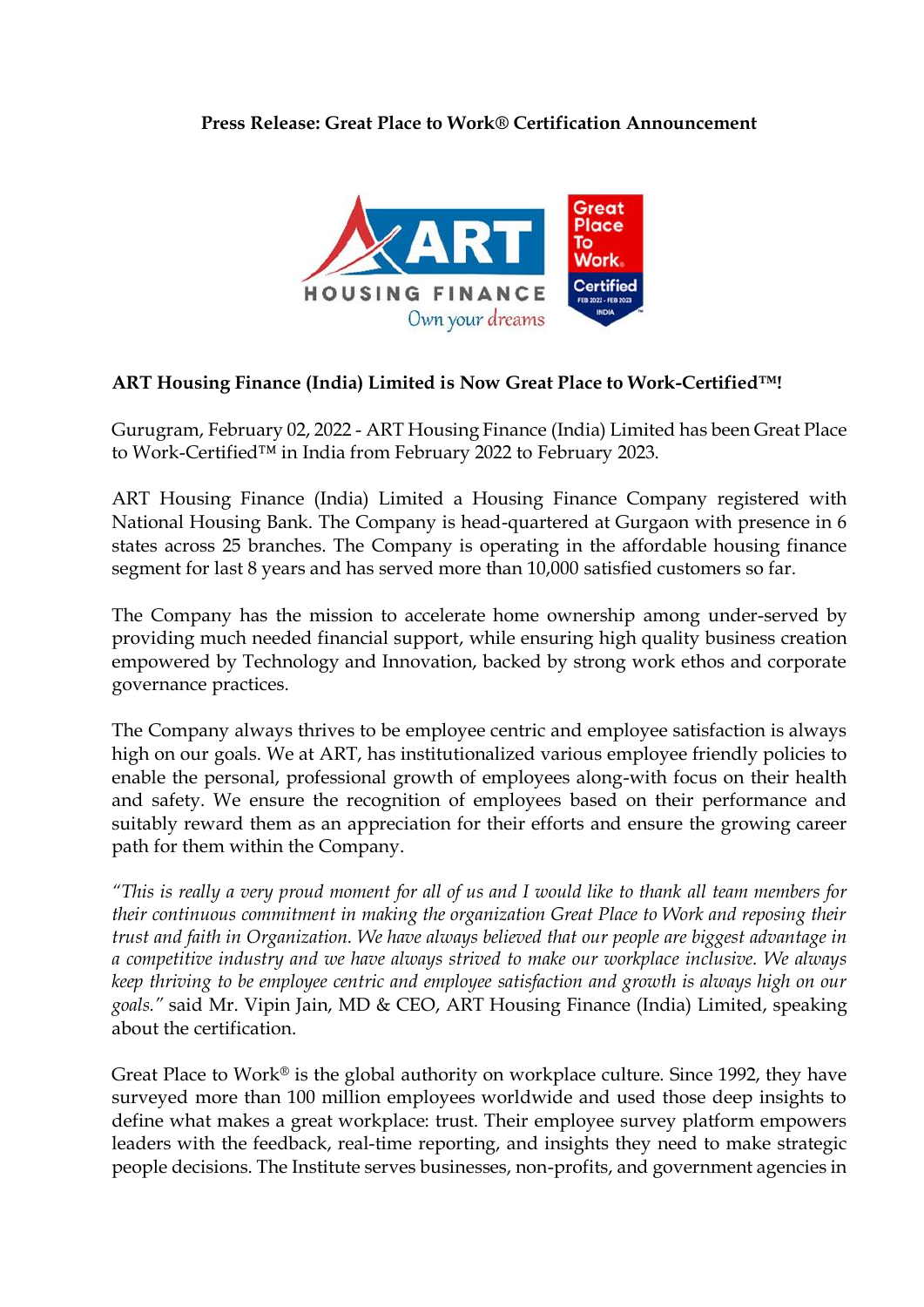## **Press Release: Great Place to Work® Certification Announcement**



## **ART Housing Finance (India) Limited is Now Great Place to Work-Certified™!**

Gurugram, February 02, 2022 - ART Housing Finance (India) Limited has been Great Place to Work-Certified™ in India from February 2022 to February 2023.

ART Housing Finance (India) Limited a Housing Finance Company registered with National Housing Bank. The Company is head-quartered at Gurgaon with presence in 6 states across 25 branches. The Company is operating in the affordable housing finance segment for last 8 years and has served more than 10,000 satisfied customers so far.

The Company has the mission to accelerate home ownership among under-served by providing much needed financial support, while ensuring high quality business creation empowered by Technology and Innovation, backed by strong work ethos and corporate governance practices.

The Company always thrives to be employee centric and employee satisfaction is always high on our goals. We at ART, has institutionalized various employee friendly policies to enable the personal, professional growth of employees along-with focus on their health and safety. We ensure the recognition of employees based on their performance and suitably reward them as an appreciation for their efforts and ensure the growing career path for them within the Company.

*"This is really a very proud moment for all of us and I would like to thank all team members for their continuous commitment in making the organization Great Place to Work and reposing their trust and faith in Organization. We have always believed that our people are biggest advantage in a competitive industry and we have always strived to make our workplace inclusive. We always keep thriving to be employee centric and employee satisfaction and growth is always high on our goals."* said Mr. Vipin Jain, MD & CEO, ART Housing Finance (India) Limited, speaking about the certification.

Great Place to Work<sup>®</sup> is the global authority on workplace culture. Since 1992, they have surveyed more than 100 million employees worldwide and used those deep insights to define what makes a great workplace: trust. Their employee survey platform empowers leaders with the feedback, real-time reporting, and insights they need to make strategic people decisions. The Institute serves businesses, non-profits, and government agencies in